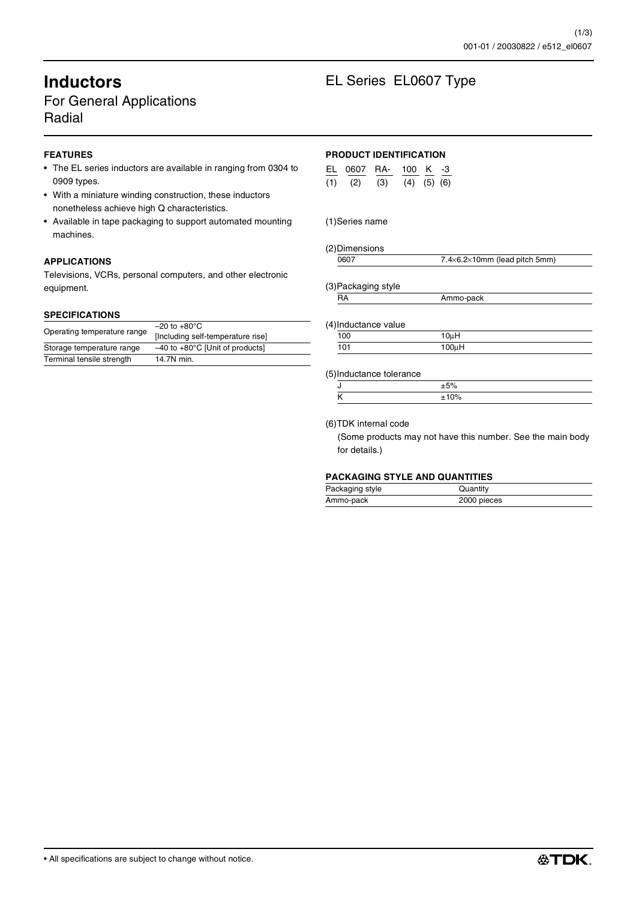# For General Applications Radial

# **FEATURES**

- The EL series inductors are available in ranging from 0304 to 0909 types.
- With a miniature winding construction, these inductors nonetheless achieve high Q characteristics.
- Available in tape packaging to support automated mounting machines.

### **APPLICATIONS**

Televisions, VCRs, personal computers, and other electronic equipment.

#### **SPECIFICATIONS**

| Storage temperature range | [Including self-temperature rise]<br>$-40$ to $+80^{\circ}$ C [Unit of products] |  |
|---------------------------|----------------------------------------------------------------------------------|--|
| Terminal tensile strength | 14.7N min.                                                                       |  |

# **Inductors** EL Series EL0607 Type

## **PRODUCT IDENTIFICATION**

| FI 0607 RA- |     | 100 K $-3$        |  |
|-------------|-----|-------------------|--|
| $(1)$ $(2)$ | (3) | $(4)$ $(5)$ $(6)$ |  |

### (1)Series name

#### (2)Dimensions

|  | $7.4\times6.2\times10$ mm (lead pitch 5mm) |
|--|--------------------------------------------|
|  |                                            |

#### (3)Packaging style

| RA |  | Ammo-pack |
|----|--|-----------|
|    |  |           |

#### (4)Inductance value

| .   |                                  |  |
|-----|----------------------------------|--|
| 100 | ' Ou H                           |  |
| 101 | 100 <sub>II</sub> H<br>$100 \mu$ |  |

#### (5)Inductance tolerance

#### (6)TDK internal code

(Some products may not have this number. See the main body for details.)

#### **PACKAGING STYLE AND QUANTITIES**

| Packaging style | Quantity    |
|-----------------|-------------|
| Ammo-pack       | 2000 pieces |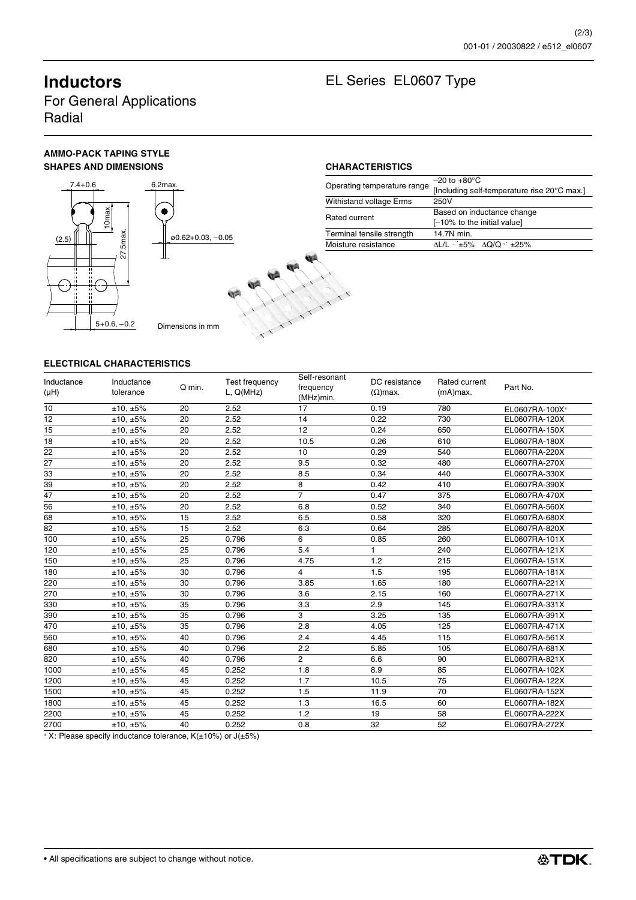For General Applications Radial

# **AMMO-PACK TAPING STYLE** SHAPES AND DIMENSIONS **CHARACTERISTICS**



# **Inductors** EL Series EL0607 Type

|                             | $-20$ to $+80^{\circ}$ C                    |
|-----------------------------|---------------------------------------------|
| Operating temperature range | [Including self-temperature rise 20°C max.] |
| Withistand voltage Erms     | 250V                                        |
| Rated current               | Based on inductance change                  |
|                             | [-10% to the initial value]                 |
| Terminal tensile strength   | 14.7N min.                                  |
| Moisture resistance         | ∆L/L ≤±5% ∆Q/Q ≤±25%                        |

# **ELECTRICAL CHARACTERISTICS**

|                 | 10 <sub>max</sub>                                           |                   |                | Rated current          |                           | Based on inductance change  |                |  |  |
|-----------------|-------------------------------------------------------------|-------------------|----------------|------------------------|---------------------------|-----------------------------|----------------|--|--|
|                 |                                                             |                   |                |                        |                           | [-10% to the initial value] |                |  |  |
| (2.5)           | .5 <sub>max</sub>                                           | ø0.62+0.03, -0.05 |                |                        | Terminal tensile strength | 14.7N min.                  |                |  |  |
|                 |                                                             |                   |                |                        | Moisture resistance       | ∆L/L ≤±5% ∆Q/Q ≤±25%        |                |  |  |
|                 | 27.<br>$5+0.6, -0.2$                                        | Dimensions in mm  |                |                        |                           |                             |                |  |  |
| Inductance      | <b>ELECTRICAL CHARACTERISTICS</b><br>Inductance             |                   | Test frequency | Self-resonant          | DC resistance             | Rated current               |                |  |  |
| (µH)            | tolerance                                                   | Q min.            | L, Q(MHz)      | frequency<br>(MHz)min. | $(\Omega)$ max.           | (mA)max.                    | Part No.       |  |  |
| 10              | ±10, ±5%                                                    | 20                | 2.52           | 17                     | 0.19                      | 780                         | EL0607RA-100X* |  |  |
| 12              | ±10, ±5%                                                    | 20                | 2.52           | 14                     | 0.22                      | 730                         | EL0607RA-120X  |  |  |
| 15              | ±10, ±5%                                                    | 20                | 2.52           | 12                     | 0.24                      | 650                         | EL0607RA-150X  |  |  |
| 18              | ±10, ±5%                                                    | 20                | 2.52           | 10.5                   | 0.26                      | 610                         | EL0607RA-180X  |  |  |
| $\overline{22}$ | ±10, ±5%                                                    | 20                | 2.52           | 10                     | 0.29                      | 540                         | EL0607RA-220X  |  |  |
| 27              | ±10, ±5%                                                    | 20                | 2.52           | 9.5                    | 0.32                      | 480                         | EL0607RA-270X  |  |  |
| 33              | ±10, ±5%                                                    | 20                | 2.52           | 8.5                    | 0.34                      | 440                         | EL0607RA-330X  |  |  |
| 39              | ±10, ±5%                                                    | 20                | 2.52           | 8                      | 0.42                      | 410                         | EL0607RA-390X  |  |  |
| 47              | ±10, ±5%                                                    | 20                | 2.52           | $\overline{7}$         | 0.47                      | 375                         | EL0607RA-470X  |  |  |
| 56              | ±10, ±5%                                                    | 20                | 2.52           | 6.8                    | 0.52                      | 340                         | EL0607RA-560X  |  |  |
| 68              | ±10, ±5%                                                    | 15                | 2.52           | 6.5                    | 0.58                      | 320                         | EL0607RA-680X  |  |  |
| 82              | ±10, ±5%                                                    | 15                | 2.52           | 6.3                    | 0.64                      | 285                         | EL0607RA-820X  |  |  |
| 100             | ±10, ±5%                                                    | 25                | 0.796          | 6                      | 0.85                      | 260                         | EL0607RA-101X  |  |  |
| 120             | ±10, ±5%                                                    | 25                | 0.796          | 5.4                    | 1                         | 240                         | EL0607RA-121X  |  |  |
| 150             | ±10, ±5%                                                    | 25                | 0.796          | 4.75                   | 1.2                       | 215                         | EL0607RA-151X  |  |  |
| 180             | ±10, ±5%                                                    | 30                | 0.796          | $\overline{4}$         | 1.5                       | 195                         | EL0607RA-181X  |  |  |
| 220             | ±10, ±5%                                                    | 30                | 0.796          | 3.85                   | 1.65                      | 180                         | EL0607RA-221X  |  |  |
| 270             | ±10, ±5%                                                    | 30                | 0.796          | 3.6                    | 2.15                      | 160                         | EL0607RA-271X  |  |  |
| 330             | ±10, ±5%                                                    | 35                | 0.796          | 3.3                    | 2.9                       | 145                         | EL0607RA-331X  |  |  |
| 390             | ±10, ±5%                                                    | 35                | 0.796          | 3                      | 3.25                      | 135                         | EL0607RA-391X  |  |  |
| 470             | ±10, ±5%                                                    | 35                | 0.796          | 2.8                    | 4.05                      | 125                         | EL0607RA-471X  |  |  |
| 560             | ±10, ±5%                                                    | 40                | 0.796          | 2.4                    | 4.45                      | 115                         | EL0607RA-561X  |  |  |
| 680             | ±10, ±5%                                                    | 40                | 0.796          | 2.2                    | 5.85                      | 105                         | EL0607RA-681X  |  |  |
| 820             |                                                             | 40                | 0.796          | 2                      | 6.6                       | 90                          | EL0607RA-821X  |  |  |
|                 | ±10, ±5%                                                    |                   |                |                        |                           |                             |                |  |  |
| 1000            | ±10, ±5%                                                    | 45<br>45          | 0.252<br>0.252 | 1.8<br>1.7             | 8.9<br>10.5               | 85<br>75                    | EL0607RA-102X  |  |  |
| 1200            | ±10, ±5%                                                    | 45                | 0.252          | 1.5                    | 11.9                      | 70                          | EL0607RA-122X  |  |  |
| 1500            | ±10, ±5%                                                    | 45                | 0.252          |                        |                           | 60                          | EL0607RA-152X  |  |  |
| 1800            | ±10, ±5%                                                    |                   |                | 1.3                    | 16.5                      |                             | EL0607RA-182X  |  |  |
| 2200            | ±10, ±5%                                                    | 45                | 0.252          | 1.2                    | 19                        | 58                          | EL0607RA-222X  |  |  |
| 2700            | ±10, ±5%                                                    | 40                | 0.252          | 0.8                    | 32                        | 52                          | EL0607RA-272X  |  |  |
|                 | * X: Please specify inductance tolerance, K(±10%) or J(±5%) |                   |                |                        |                           |                             |                |  |  |